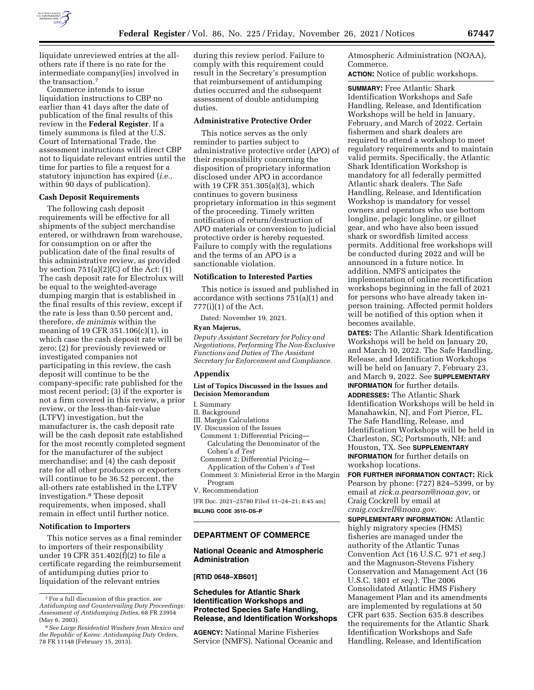

liquidate unreviewed entries at the allothers rate if there is no rate for the intermediate company(ies) involved in the transaction.7

Commerce intends to issue liquidation instructions to CBP no earlier than 41 days after the date of publication of the final results of this review in the **Federal Register**. If a timely summons is filed at the U.S. Court of International Trade, the assessment instructions will direct CBP not to liquidate relevant entries until the time for parties to file a request for a statutory injunction has expired (*i.e.,*  within 90 days of publication).

# **Cash Deposit Requirements**

The following cash deposit requirements will be effective for all shipments of the subject merchandise entered, or withdrawn from warehouse, for consumption on or after the publication date of the final results of this administrative review, as provided by section 751(a)(2)(C) of the Act: (1) The cash deposit rate for Electrolux will be equal to the weighted-average dumping margin that is established in the final results of this review, except if the rate is less than 0.50 percent and, therefore, *de minimis* within the meaning of 19 CFR 351.106(c)(1), in which case the cash deposit rate will be zero; (2) for previously reviewed or investigated companies not participating in this review, the cash deposit will continue to be the company-specific rate published for the most recent period; (3) if the exporter is not a firm covered in this review, a prior review, or the less-than-fair-value (LTFV) investigation, but the manufacturer is, the cash deposit rate will be the cash deposit rate established for the most recently completed segment for the manufacturer of the subject merchandise; and (4) the cash deposit rate for all other producers or exporters will continue to be 36.52 percent, the all-others rate established in the LTFV investigation.8 These deposit requirements, when imposed, shall remain in effect until further notice.

# **Notification to Importers**

This notice serves as a final reminder to importers of their responsibility under 19 CFR 351.402(f)(2) to file a certificate regarding the reimbursement of antidumping duties prior to liquidation of the relevant entries

during this review period. Failure to comply with this requirement could result in the Secretary's presumption that reimbursement of antidumping duties occurred and the subsequent assessment of double antidumping duties.

## **Administrative Protective Order**

This notice serves as the only reminder to parties subject to administrative protective order (APO) of their responsibility concerning the disposition of proprietary information disclosed under APO in accordance with 19 CFR 351.305(a)(3), which continues to govern business proprietary information in this segment of the proceeding. Timely written notification of return/destruction of APO materials or conversion to judicial protective order is hereby requested. Failure to comply with the regulations and the terms of an APO is a sanctionable violation.

## **Notification to Interested Parties**

This notice is issued and published in accordance with sections 751(a)(1) and 777(i)(1) of the Act.

Dated: November 19, 2021.

#### **Ryan Majerus,**

*Deputy Assistant Secretary for Policy and Negotiations, Performing The Non-Exclusive Functions and Duties of The Assistant Secretary for Enforcement and Compliance.* 

## **Appendix**

# **List of Topics Discussed in the Issues and Decision Memorandum**

I. Summary

II. Background

- III. Margin Calculations
- IV. Discussion of the Issues
	- Comment 1: Differential Pricing— Calculating the Denominator of the Cohen's *d Test*
	- Comment 2: Differential Pricing— Application of the Cohen's *d* Test
	- Comment 3: Ministerial Error in the Margin Program
- V. Recommendation

[FR Doc. 2021–25780 Filed 11–24–21; 8:45 am] **BILLING CODE 3510–DS–P** 

## **DEPARTMENT OF COMMERCE**

# **National Oceanic and Atmospheric Administration**

# **[RTID 0648–XB601]**

# **Schedules for Atlantic Shark Identification Workshops and Protected Species Safe Handling, Release, and Identification Workshops**

**AGENCY:** National Marine Fisheries Service (NMFS), National Oceanic and

Atmospheric Administration (NOAA), Commerce.

**ACTION:** Notice of public workshops.

**SUMMARY:** Free Atlantic Shark Identification Workshops and Safe Handling, Release, and Identification Workshops will be held in January, February, and March of 2022. Certain fishermen and shark dealers are required to attend a workshop to meet regulatory requirements and to maintain valid permits. Specifically, the Atlantic Shark Identification Workshop is mandatory for all federally permitted Atlantic shark dealers. The Safe Handling, Release, and Identification Workshop is mandatory for vessel owners and operators who use bottom longline, pelagic longline, or gillnet gear, and who have also been issued shark or swordfish limited access permits. Additional free workshops will be conducted during 2022 and will be announced in a future notice. In addition, NMFS anticipates the implementation of online recertification workshops beginning in the fall of 2021 for persons who have already taken inperson training. Affected permit holders will be notified of this option when it becomes available.

**DATES:** The Atlantic Shark Identification Workshops will be held on January 20, and March 10, 2022. The Safe Handling, Release, and Identification Workshops will be held on January 7, February 23, and March 9, 2022. See **SUPPLEMENTARY INFORMATION** for further details. **ADDRESSES:** The Atlantic Shark Identification Workshops will be held in Manahawkin, NJ, and Fort Pierce, FL.

The Safe Handling, Release, and Identification Workshops will be held in Charleston, SC; Portsmouth, NH; and Houston, TX. See **SUPPLEMENTARY INFORMATION** for further details on workshop locations.

**FOR FURTHER INFORMATION CONTACT:** Rick Pearson by phone: (727) 824–5399, or by email at *[rick.a.pearson@noaa.gov,](mailto:rick.a.pearson@noaa.gov)* or Craig Cockrell by email at *[craig.cockrell@noaa.gov.](mailto:craig.cockrell@noaa.gov)* 

**SUPPLEMENTARY INFORMATION:** Atlantic highly migratory species (HMS) fisheries are managed under the authority of the Atlantic Tunas Convention Act (16 U.S.C. 971 *et seq.*) and the Magnuson-Stevens Fishery Conservation and Management Act (16 U.S.C. 1801 *et seq.*). The 2006 Consolidated Atlantic HMS Fishery Management Plan and its amendments are implemented by regulations at 50 CFR part 635. Section 635.8 describes the requirements for the Atlantic Shark Identification Workshops and Safe Handling, Release, and Identification

<sup>7</sup>For a full discussion of this practice, *see Antidumping and Countervailing Duty Proceedings: Assessment of Antidumping Duties,* 68 FR 23954 (May 6, 2003).

<sup>8</sup>*See Large Residential Washers from Mexico and the Republic of Korea: Antidumping Duty Orders,*  78 FR 11148 (February 15, 2013).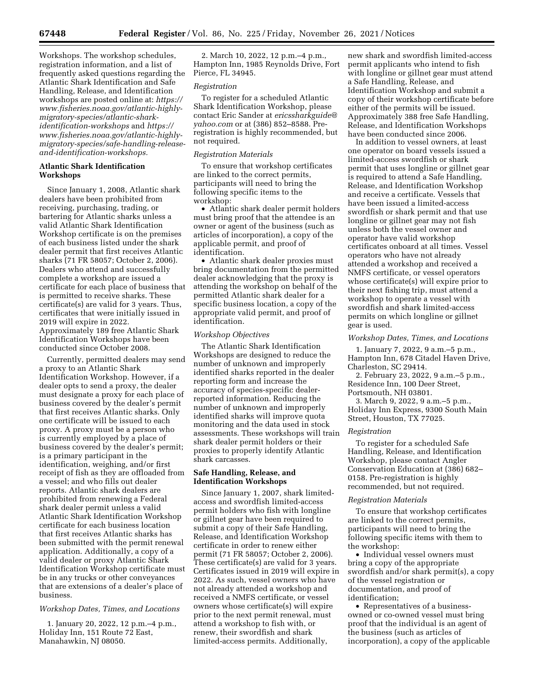Workshops. The workshop schedules, registration information, and a list of frequently asked questions regarding the Atlantic Shark Identification and Safe Handling, Release, and Identification workshops are posted online at: *[https://](https://www.fisheries.noaa.gov/atlantic-highly-migratory-species/atlantic-shark-identification-workshops) [www.fisheries.noaa.gov/atlantic-highly](https://www.fisheries.noaa.gov/atlantic-highly-migratory-species/atlantic-shark-identification-workshops)[migratory-species/atlantic-shark](https://www.fisheries.noaa.gov/atlantic-highly-migratory-species/atlantic-shark-identification-workshops)[identification-workshops](https://www.fisheries.noaa.gov/atlantic-highly-migratory-species/atlantic-shark-identification-workshops)* and *[https://](https://www.fisheries.noaa.gov/atlantic-highly-migratory-species/safe-handling-release-and-identification-workshops) www.fisheries.noaa.gov/atlantic-highly[migratory-species/safe-handling-release](https://www.fisheries.noaa.gov/atlantic-highly-migratory-species/safe-handling-release-and-identification-workshops)[and-identification-workshops.](https://www.fisheries.noaa.gov/atlantic-highly-migratory-species/safe-handling-release-and-identification-workshops)* 

# **Atlantic Shark Identification Workshops**

Since January 1, 2008, Atlantic shark dealers have been prohibited from receiving, purchasing, trading, or bartering for Atlantic sharks unless a valid Atlantic Shark Identification Workshop certificate is on the premises of each business listed under the shark dealer permit that first receives Atlantic sharks (71 FR 58057; October 2, 2006). Dealers who attend and successfully complete a workshop are issued a certificate for each place of business that is permitted to receive sharks. These certificate(s) are valid for 3 years. Thus, certificates that were initially issued in 2019 will expire in 2022. Approximately 189 free Atlantic Shark Identification Workshops have been conducted since October 2008.

Currently, permitted dealers may send a proxy to an Atlantic Shark Identification Workshop. However, if a dealer opts to send a proxy, the dealer must designate a proxy for each place of business covered by the dealer's permit that first receives Atlantic sharks. Only one certificate will be issued to each proxy. A proxy must be a person who is currently employed by a place of business covered by the dealer's permit; is a primary participant in the identification, weighing, and/or first receipt of fish as they are offloaded from a vessel; and who fills out dealer reports. Atlantic shark dealers are prohibited from renewing a Federal shark dealer permit unless a valid Atlantic Shark Identification Workshop certificate for each business location that first receives Atlantic sharks has been submitted with the permit renewal application. Additionally, a copy of a valid dealer or proxy Atlantic Shark Identification Workshop certificate must be in any trucks or other conveyances that are extensions of a dealer's place of business.

# *Workshop Dates, Times, and Locations*

1. January 20, 2022, 12 p.m.–4 p.m., Holiday Inn, 151 Route 72 East, Manahawkin, NJ 08050.

2. March 10, 2022, 12 p.m.–4 p.m., Hampton Inn, 1985 Reynolds Drive, Fort Pierce, FL 34945.

#### *Registration*

To register for a scheduled Atlantic Shark Identification Workshop, please contact Eric Sander at *[ericssharkguide@](mailto:ericssharkguide@yahoo.com) [yahoo.com](mailto:ericssharkguide@yahoo.com)* or at (386) 852–8588. Preregistration is highly recommended, but not required.

## *Registration Materials*

To ensure that workshop certificates are linked to the correct permits, participants will need to bring the following specific items to the workshop:

• Atlantic shark dealer permit holders must bring proof that the attendee is an owner or agent of the business (such as articles of incorporation), a copy of the applicable permit, and proof of identification.

• Atlantic shark dealer proxies must bring documentation from the permitted dealer acknowledging that the proxy is attending the workshop on behalf of the permitted Atlantic shark dealer for a specific business location, a copy of the appropriate valid permit, and proof of identification.

#### *Workshop Objectives*

The Atlantic Shark Identification Workshops are designed to reduce the number of unknown and improperly identified sharks reported in the dealer reporting form and increase the accuracy of species-specific dealerreported information. Reducing the number of unknown and improperly identified sharks will improve quota monitoring and the data used in stock assessments. These workshops will train shark dealer permit holders or their proxies to properly identify Atlantic shark carcasses.

# **Safe Handling, Release, and Identification Workshops**

Since January 1, 2007, shark limitedaccess and swordfish limited-access permit holders who fish with longline or gillnet gear have been required to submit a copy of their Safe Handling, Release, and Identification Workshop certificate in order to renew either permit (71 FR 58057; October 2, 2006). These certificate(s) are valid for 3 years. Certificates issued in 2019 will expire in 2022. As such, vessel owners who have not already attended a workshop and received a NMFS certificate, or vessel owners whose certificate(s) will expire prior to the next permit renewal, must attend a workshop to fish with, or renew, their swordfish and shark limited-access permits. Additionally,

new shark and swordfish limited-access permit applicants who intend to fish with longline or gillnet gear must attend a Safe Handling, Release, and Identification Workshop and submit a copy of their workshop certificate before either of the permits will be issued. Approximately 388 free Safe Handling, Release, and Identification Workshops have been conducted since 2006.

In addition to vessel owners, at least one operator on board vessels issued a limited-access swordfish or shark permit that uses longline or gillnet gear is required to attend a Safe Handling, Release, and Identification Workshop and receive a certificate. Vessels that have been issued a limited-access swordfish or shark permit and that use longline or gillnet gear may not fish unless both the vessel owner and operator have valid workshop certificates onboard at all times. Vessel operators who have not already attended a workshop and received a NMFS certificate, or vessel operators whose certificate(s) will expire prior to their next fishing trip, must attend a workshop to operate a vessel with swordfish and shark limited-access permits on which longline or gillnet gear is used.

#### *Workshop Dates, Times, and Locations*

1. January 7, 2022, 9 a.m.–5 p.m., Hampton Inn, 678 Citadel Haven Drive, Charleston, SC 29414.

2. February 23, 2022, 9 a.m.–5 p.m., Residence Inn, 100 Deer Street, Portsmouth, NH 03801.

3. March 9, 2022, 9 a.m.–5 p.m., Holiday Inn Express, 9300 South Main Street, Houston, TX 77025.

## *Registration*

To register for a scheduled Safe Handling, Release, and Identification Workshop, please contact Angler Conservation Education at (386) 682– 0158. Pre-registration is highly recommended, but not required.

#### *Registration Materials*

To ensure that workshop certificates are linked to the correct permits, participants will need to bring the following specific items with them to the workshop:

• Individual vessel owners must bring a copy of the appropriate swordfish and/or shark permit(s), a copy of the vessel registration or documentation, and proof of identification;

• Representatives of a businessowned or co-owned vessel must bring proof that the individual is an agent of the business (such as articles of incorporation), a copy of the applicable